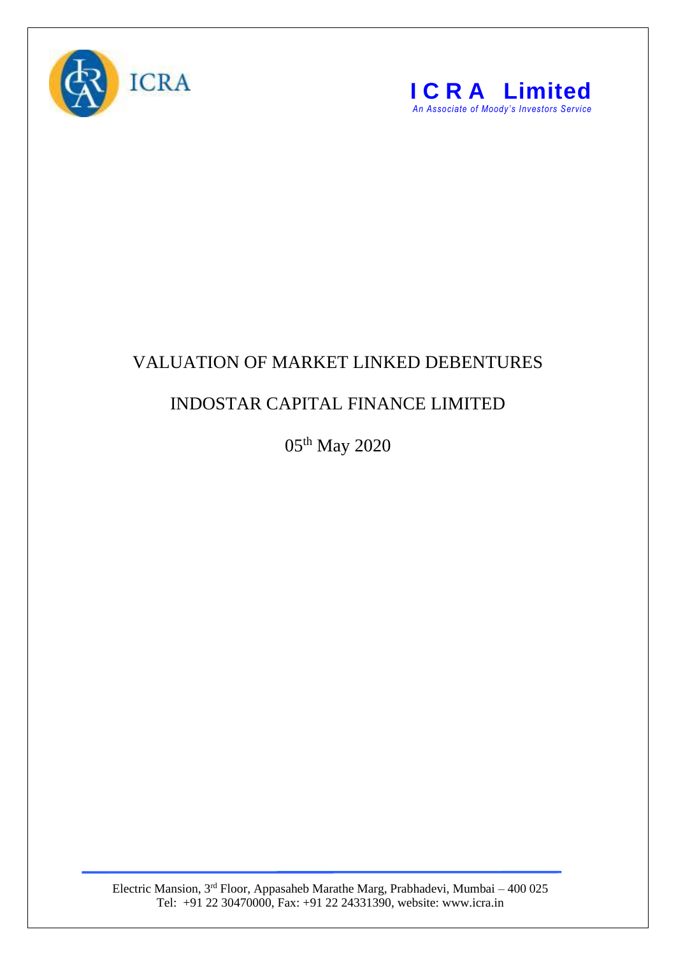



## VALUATION OF MARKET LINKED DEBENTURES

## INDOSTAR CAPITAL FINANCE LIMITED

05th May 2020

Electric Mansion, 3<sup>rd</sup> Floor, Appasaheb Marathe Marg, Prabhadevi, Mumbai – 400 025 Tel: +91 22 30470000, Fax: +91 22 24331390, website: www.icra.in